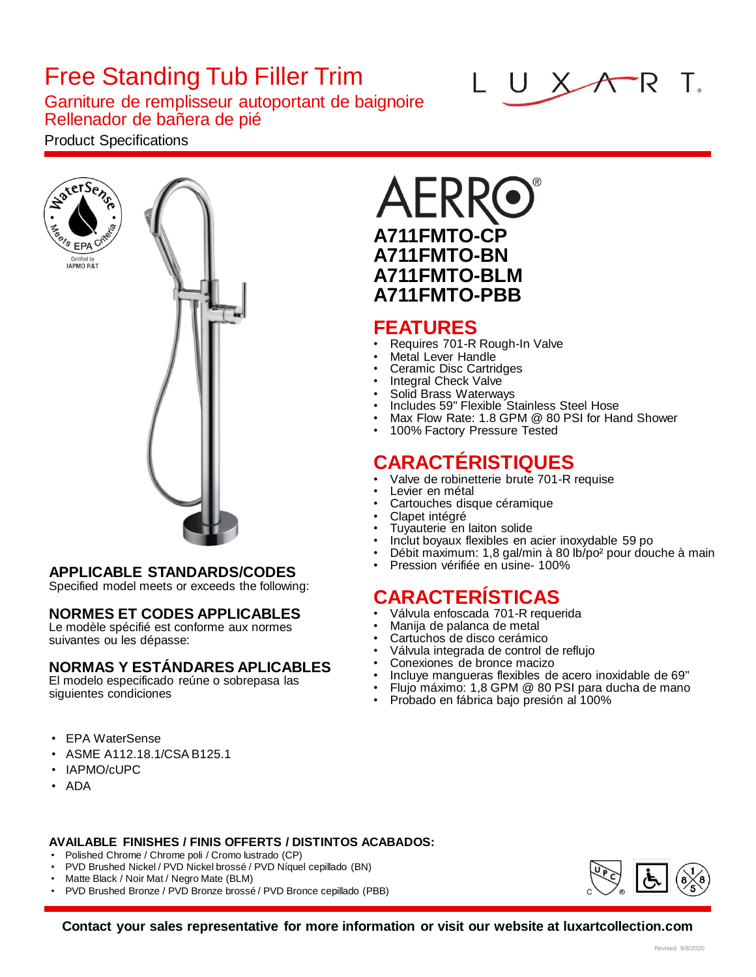# Free Standing Tub Filler Trim

Garniture de remplisseur autoportant de baignoire Rellenador de bañera de pié

#### Product Specifications





#### **APPLICABLE STANDARDS/CODES**

Specified model meets or exceeds the following:

#### **NORMES ET CODES APPLICABLES**

Le modèle spécifié est conforme aux normes suivantes ou les dépasse:

#### **NORMAS Y ESTÁNDARES APLICABLES**

El modelo especificado reúne o sobrepasa las siguientes condiciones

- EPA WaterSense
- ASME A112.18.1/CSA B125.1
- IAPMO/cUPC
- ADA

# **A711FMTO-CP A711FMTO-BN A711FMTO-BLM A711FMTO-PBB**

#### **FEATURES**

- Requires 701-R Rough-In Valve
- Metal Lever Handle
- Ceramic Disc Cartridges
- Integral Check Valve
- Solid Brass Waterways • Includes 59" Flexible Stainless Steel Hose
- Max Flow Rate: 1.8 GPM @ 80 PSI for Hand Shower
- 100% Factory Pressure Tested

## **CARACTÉRISTIQUES**

- Valve de robinetterie brute 701-R requise
- Levier en métal
- Cartouches disque céramique
- Clapet intégré
- Tuyauterie en laiton solide
- Inclut boyaux flexibles en acier inoxydable 59 po
- Débit maximum: 1,8 gal/min à 80 lb/po² pour douche à main
- Pression vérifiée en usine- 100%

## **CARACTERÍSTICAS**

- Válvula enfoscada 701-R requerida
- Manija de palanca de metal
- Cartuchos de disco cerámico
- Válvula integrada de control de reflujo
- Conexiones de bronce macizo
- Incluye mangueras flexibles de acero inoxidable de 69"
- Flujo máximo: 1,8 GPM @ 80 PSI para ducha de mano
- Probado en fábrica bajo presión al 100%

- **AVAILABLE FINISHES / FINIS OFFERTS / DISTINTOS ACABADOS:**
- Polished Chrome / Chrome poli / Cromo lustrado (CP)
- PVD Brushed Nickel / PVD Nickel brossé / PVD Níquel cepillado (BN)
- Matte Black / Noir Mat / Negro Mate (BLM)
- PVD Brushed Bronze / PVD Bronze brossé / PVD Bronce cepillado (PBB)



**Contact your sales representative for more information or visit our website at luxartcollection.com**

#### $ATR$  T. UX